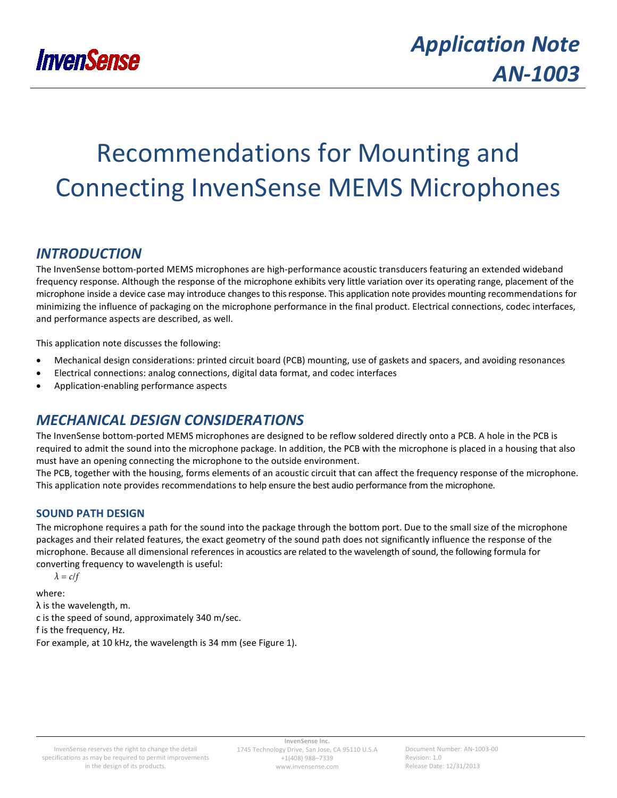

# Recommendations for Mounting and Connecting InvenSense MEMS Microphones

## *INTRODUCTION*

The InvenSense bottom-ported MEMS microphones are high-performance acoustic transducers featuring an extended wideband frequency response. Although the response of the microphone exhibits very little variation over its operating range, placement of the microphone inside a device case may introduce changes to this response. This application note provides mounting recommendations for minimizing the influence of packaging on the microphone performance in the final product. Electrical connections, codec interfaces, and performance aspects are described, as well.

This application note discusses the following:

- Mechanical design considerations: printed circuit board (PCB) mounting, use of gaskets and spacers, and avoiding resonances
- Electrical connections: analog connections, digital data format, and codec interfaces
- Application-enabling performance aspects

## *MECHANICAL DESIGN CONSIDERATIONS*

The InvenSense bottom-ported MEMS microphones are designed to be reflow soldered directly onto a PCB. A hole in the PCB is required to admit the sound into the microphone package. In addition, the PCB with the microphone is placed in a housing that also must have an opening connecting the microphone to the outside environment.

The PCB, together with the housing, forms elements of an acoustic circuit that can affect the frequency response of the microphone. This application note provides recommendations to help ensure the best audio performance from the microphone.

## **SOUND PATH DESIGN**

The microphone requires a path for the sound into the package through the bottom port. Due to the small size of the microphone packages and their related features, the exact geometry of the sound path does not significantly influence the response of the microphone. Because all dimensional references in acoustics are related to the wavelength of sound, the following formula for converting frequency to wavelength is useful:

 $λ = c/f$ 

where: λ is the wavelength, m. c is the speed of sound, approximately 340 m/sec. f is the frequency, Hz. For example, at 10 kHz, the wavelength is 34 mm (see [Figure 1\)](#page-1-0).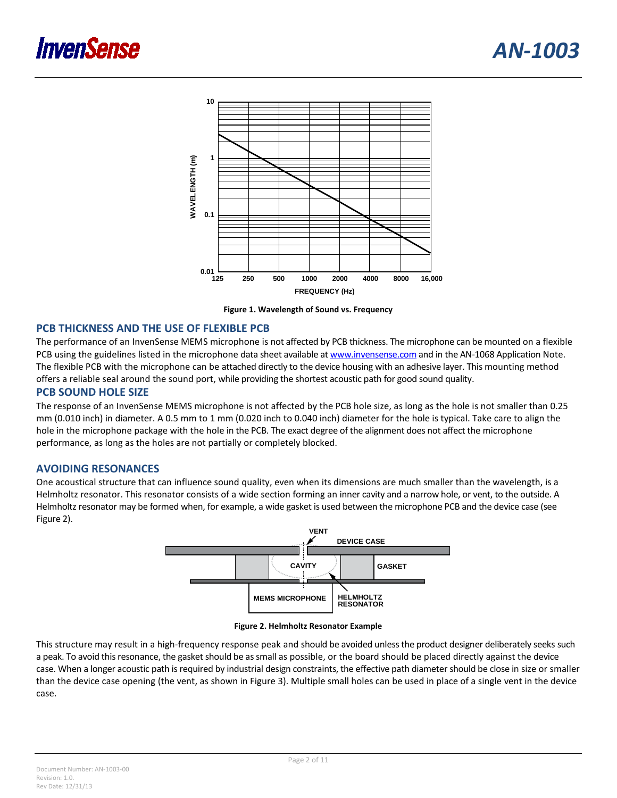



**Figure 1. Wavelength of Sound vs. Frequency**

#### <span id="page-1-0"></span>**PCB THICKNESS AND THE USE OF FLEXIBLE PCB**

The performance of an InvenSense MEMS microphone is not affected by PCB thickness. The microphone can be mounted on a flexible PCB using the guidelines listed in the microphone data sheet available at [www.invensense.com](http://www.invensense.com/) and in the AN-1068 Application Note. The flexible PCB with the microphone can be attached directly to the device housing with an adhesive layer. This mounting method offers a reliable seal around the sound port, while providing the shortest acoustic path for good sound quality.

#### **PCB SOUND HOLE SIZE**

The response of an InvenSense MEMS microphone is not affected by the PCB hole size, as long as the hole is not smaller than 0.25 mm (0.010 inch) in diameter. A 0.5 mm to 1 mm (0.020 inch to 0.040 inch) diameter for the hole is typical. Take care to align the hole in the microphone package with the hole in the PCB. The exact degree of the alignment does not affect the microphone performance, as long as the holes are not partially or completely blocked.

#### **AVOIDING RESONANCES**

One acoustical structure that can influence sound quality, even when its dimensions are much smaller than the wavelength, is a Helmholtz resonator. This resonator consists of a wide section forming an inner cavity and a narrow hole, or vent, to the outside. A Helmholtz resonator may be formed when, for example, a wide gasket is used between the microphone PCB and the device case (see [Figure 2\)](#page-1-1).





<span id="page-1-1"></span>This structure may result in a high-frequency response peak and should be avoided unless the product designer deliberately seeks such a peak. To avoid this resonance, the gasket should be as small as possible, or the board should be placed directly against the device case. When a longer acoustic path is required by industrial design constraints, the effective path diameter should be close in size or smaller than the device case opening (the vent, as shown in [Figure 3\)](#page-2-0). Multiple small holes can be used in place of a single vent in the device case.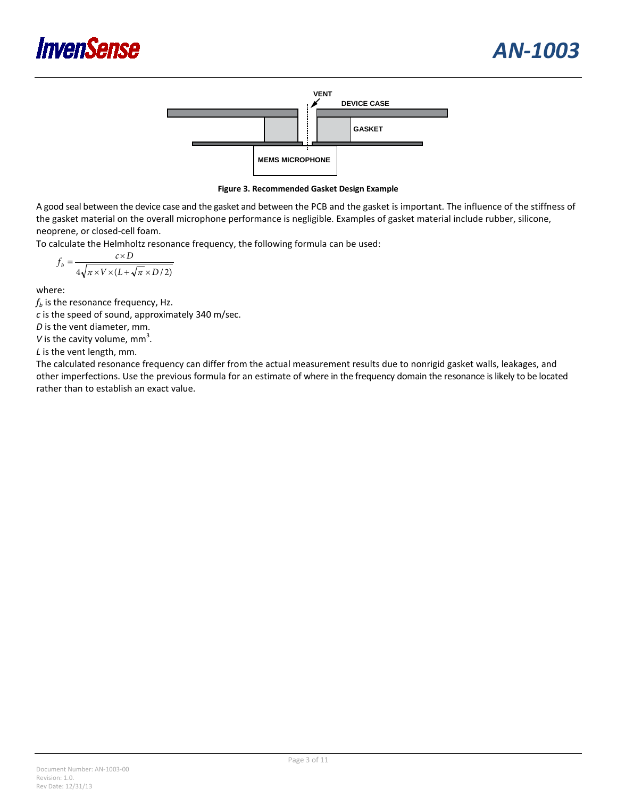



**Figure 3. Recommended Gasket Design Example**

<span id="page-2-0"></span>A good seal between the device case and the gasket and between the PCB and the gasket is important. The influence of the stiffness of the gasket material on the overall microphone performance is negligible. Examples of gasket material include rubber, silicone, neoprene, or closed-cell foam.

To calculate the Helmholtz resonance frequency, the following formula can be used:

$$
f_b = \frac{c \times D}{4\sqrt{\pi \times V \times (L + \sqrt{\pi} \times D/2)}}
$$

where:

 $f<sub>b</sub>$  is the resonance frequency, Hz.

*c* is the speed of sound, approximately 340 m/sec.

*D* is the vent diameter, mm.

V is the cavity volume,  $mm<sup>3</sup>$ .

*L* is the vent length, mm.

The calculated resonance frequency can differ from the actual measurement results due to nonrigid gasket walls, leakages, and other imperfections. Use the previous formula for an estimate of where in the frequency domain the resonance is likely to be located rather than to establish an exact value.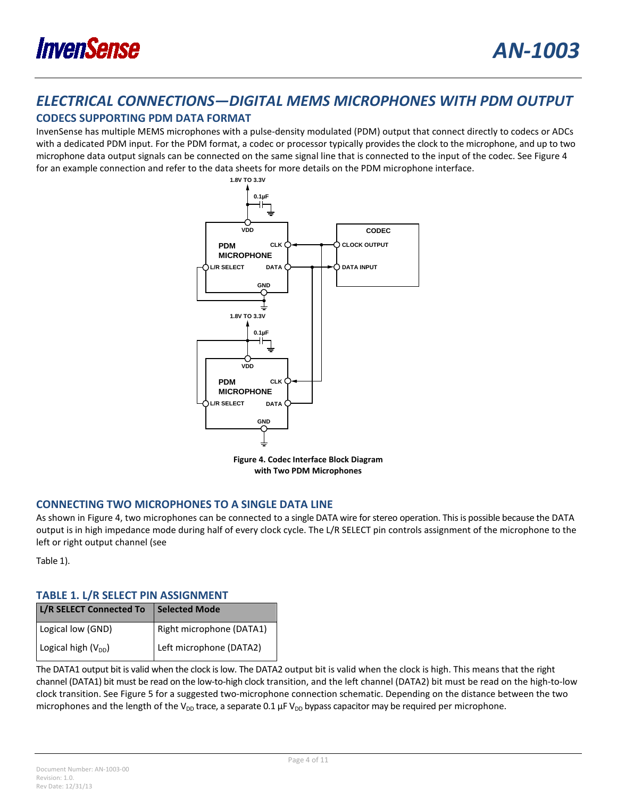

## *ELECTRICAL CONNECTIONS—DIGITAL MEMS MICROPHONES WITH PDM OUTPUT*

## **CODECS SUPPORTING PDM DATA FORMAT**

InvenSense has multiple MEMS microphones with a pulse-density modulated (PDM) output that connect directly to codecs or ADCs with a dedicated PDM input. For the PDM format, a codec or processor typically provides the clock to the microphone, and up to two microphone data output signals can be connected on the same signal line that is connected to the input of the codec. Se[e Figure 4](#page-3-0) for an example connection and refer to the data sheets for more details on the PDM microphone interface.



**Figure 4. Codec Interface Block Diagram with Two PDM Microphones**

## <span id="page-3-0"></span>**CONNECTING TWO MICROPHONES TO A SINGLE DATA LINE**

As shown in [Figure 4,](#page-3-0) two microphones can be connected to a single DATA wire for stereo operation. This is possible because the DATA output is in high impedance mode during half of every clock cycle. The L/R SELECT pin controls assignment of the microphone to the left or right output channel (se[e](#page-3-1)

[Table](#page-3-1) 1).

## <span id="page-3-1"></span>**TABLE 1. L/R SELECT PIN ASSIGNMENT**

| L/R SELECT Connected To | Selected Mode            |
|-------------------------|--------------------------|
| Logical low (GND)       | Right microphone (DATA1) |
| Logical high $(V_{DD})$ | Left microphone (DATA2)  |

The DATA1 output bit is valid when the clock is low. The DATA2 output bit is valid when the clock is high. This means that the right channel (DATA1) bit must be read on the low-to-high clock transition, and the left channel (DATA2) bit must be read on the high-to-low clock transition. Se[e Figure 5](#page-4-0) for a suggested two-microphone connection schematic. Depending on the distance between the two microphones and the length of the V<sub>DD</sub> trace, a separate 0.1  $\mu$ F V<sub>DD</sub> bypass capacitor may be required per microphone.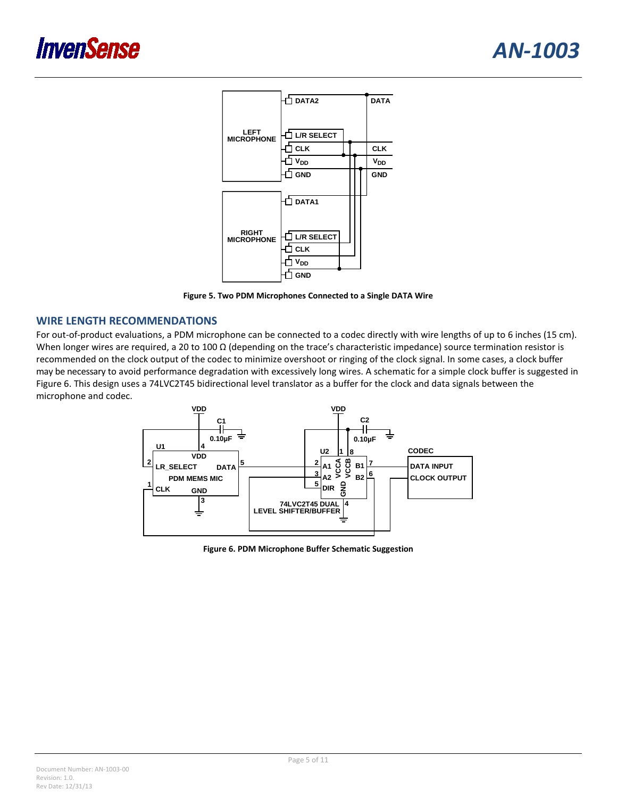

**Figure 5. Two PDM Microphones Connected to a Single DATA Wire**

#### <span id="page-4-0"></span>**WIRE LENGTH RECOMMENDATIONS**

For out-of-product evaluations, a PDM microphone can be connected to a codec directly with wire lengths of up to 6 inches (15 cm). When longer wires are required, a 20 to 100  $\Omega$  (depending on the trace's characteristic impedance) source termination resistor is recommended on the clock output of the codec to minimize overshoot or ringing of the clock signal. In some cases, a clock buffer may be necessary to avoid performance degradation with excessively long wires. A schematic for a simple clock buffer is suggested in [Figure 6.](#page-4-1) This design uses a 74LVC2T45 bidirectional level translator as a buffer for the clock and data signals between the microphone and codec.



<span id="page-4-1"></span>**Figure 6. PDM Microphone Buffer Schematic Suggestion**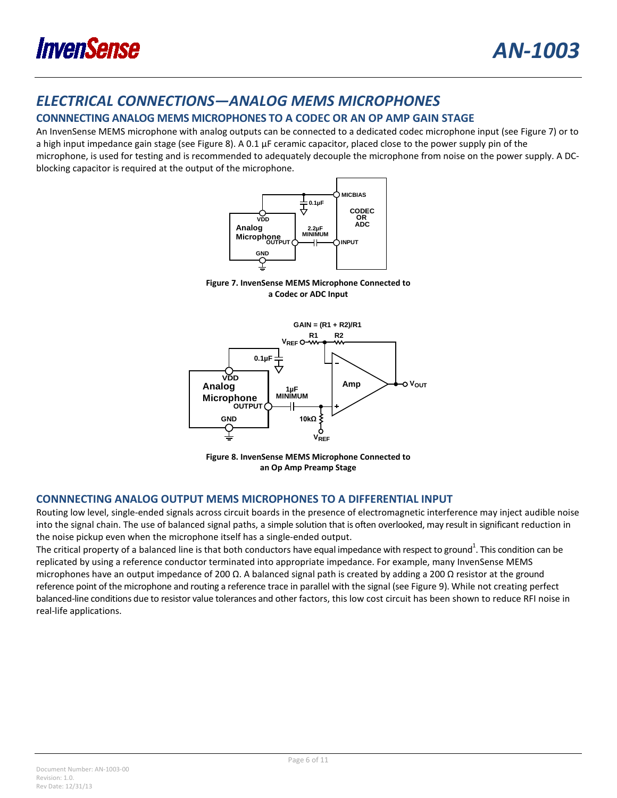

## *ELECTRICAL CONNECTIONS—ANALOG MEMS MICROPHONES*

## **CONNNECTING ANALOG MEMS MICROPHONES TO A CODEC OR AN OP AMP GAIN STAGE**

<span id="page-5-0"></span>An InvenSense MEMS microphone with analog outputs can be connected to a dedicated codec microphone input (see [Figure 7\)](#page-5-0) or to a high input impedance gain stage (see [Figure 8\)](#page-5-1). A 0.1 µF ceramic capacitor, placed close to the power supply pin of the microphone, is used for testing and is recommended to adequately decouple the microphone from noise on the power supply. A DCblocking capacitor is required at the output of the microphone.



**Figure 7. InvenSense MEMS Microphone Connected to a Codec or ADC Input**



**Figure 8. InvenSense MEMS Microphone Connected to an Op Amp Preamp Stage**

## <span id="page-5-1"></span>**CONNNECTING ANALOG OUTPUT MEMS MICROPHONES TO A DIFFERENTIAL INPUT**

Routing low level, single-ended signals across circuit boards in the presence of electromagnetic interference may inject audible noise into the signal chain. The use of balanced signal paths, a simple solution that is often overlooked, may result in significant reduction in the noise pickup even when the microphone itself has a single-ended output.

The critical property of a balanced line is that both conductors have equal impedance with respect to ground<sup>1</sup>. This condition can be replicated by using a reference conductor terminated into appropriate impedance. For example, many InvenSense MEMS microphones have an output impedance of 200 Ω. A balanced signal path is created by adding a 200 Ω resistor at the ground reference point of the microphone and routing a reference trace in parallel with the signal (se[e Figure 9\)](#page-6-0). While not creating perfect balanced-line conditions due to resistor value tolerances and other factors, this low cost circuit has been shown to reduce RFI noise in real-life applications.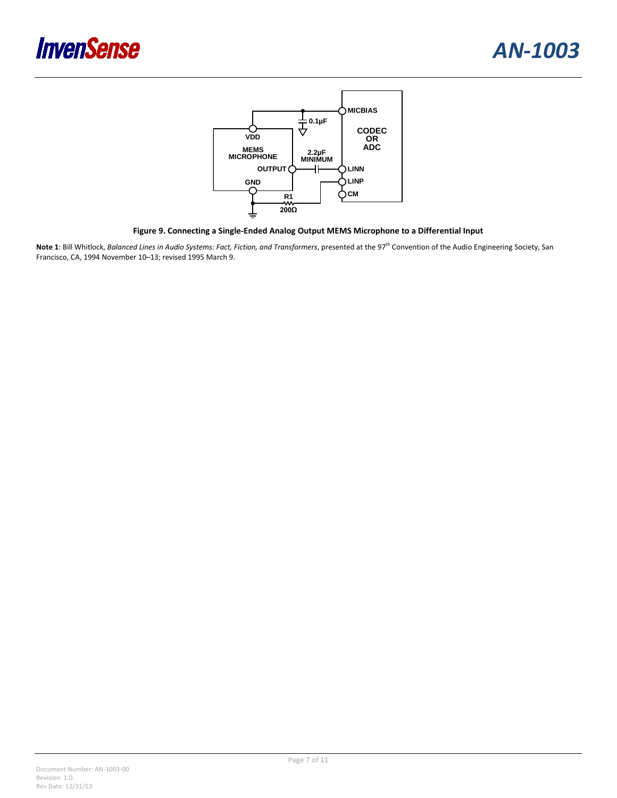



**Figure 9. Connecting a Single-Ended Analog Output MEMS Microphone to a Differential Input**

<span id="page-6-0"></span>Note 1: Bill Whitlock, *Balanced Lines in Audio Systems: Fact, Fiction, and Transformers*, presented at the 97<sup>th</sup> Convention of the Audio Engineering Society, San Francisco, CA, 1994 November 10–13; revised 1995 March 9.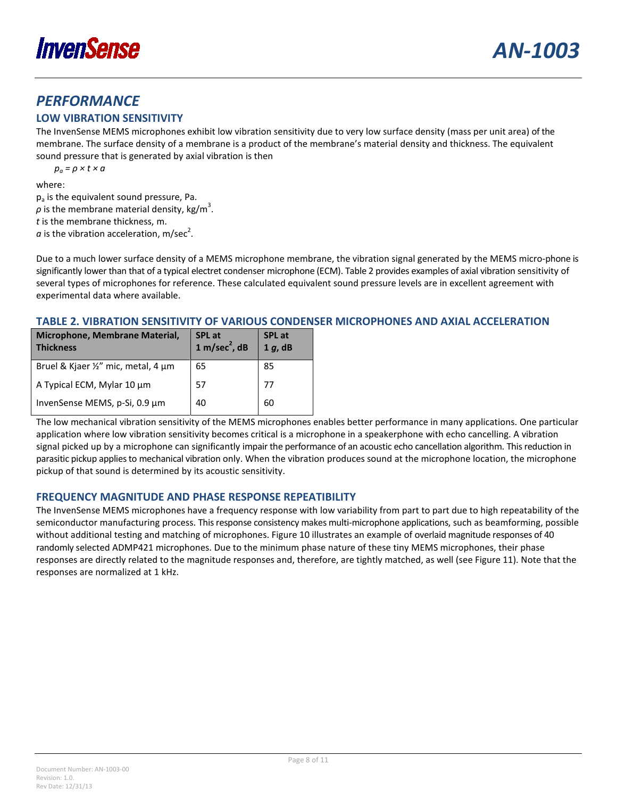

## *PERFORMANCE*

## **LOW VIBRATION SENSITIVITY**

The InvenSense MEMS microphones exhibit low vibration sensitivity due to very low surface density (mass per unit area) of the membrane. The surface density of a membrane is a product of the membrane's material density and thickness. The equivalent sound pressure that is generated by axial vibration is then

*pa = ρ × t × a*

where:

 $p_a$  is the equivalent sound pressure, Pa.  $\rho$  is the membrane material density, kg/m<sup>3</sup>. *t* is the membrane thickness, m.  $a$  is the vibration acceleration, m/sec<sup>2</sup>.

Due to a much lower surface density of a MEMS microphone membrane, the vibration signal generated by the MEMS micro-phone is significantly lower than that of a typical electret condenser microphone (ECM)[. Table 2](#page-7-0) provides examples of axial vibration sensitivity of several types of microphones for reference. These calculated equivalent sound pressure levels are in excellent agreement with experimental data where available.

## <span id="page-7-0"></span>**TABLE 2. VIBRATION SENSITIVITY OF VARIOUS CONDENSER MICROPHONES AND AXIAL ACCELERATION**

| Microphone, Membrane Material,<br><b>Thickness</b> | SPL at $1 \text{ m/sec}^2$ , dB | <b>SPL</b> at<br>$1 g$ , dB |
|----------------------------------------------------|---------------------------------|-----------------------------|
| Bruel & Kjaer 1/2" mic, metal, 4 µm                | 65                              | 85                          |
| A Typical ECM, Mylar 10 µm                         | 57                              | 77                          |
| InvenSense MEMS, p-Si, 0.9 µm                      | 40                              | 60                          |

The low mechanical vibration sensitivity of the MEMS microphones enables better performance in many applications. One particular application where low vibration sensitivity becomes critical is a microphone in a speakerphone with echo cancelling. A vibration signal picked up by a microphone can significantly impair the performance of an acoustic echo cancellation algorithm. This reduction in parasitic pickup applies to mechanical vibration only. When the vibration produces sound at the microphone location, the microphone pickup of that sound is determined by its acoustic sensitivity.

## **FREQUENCY MAGNITUDE AND PHASE RESPONSE REPEATIBILITY**

The InvenSense MEMS microphones have a frequency response with low variability from part to part due to high repeatability of the semiconductor manufacturing process. This response consistency makes multi-microphone applications, such as beamforming, possible without additional testing and matching of microphones[. Figure 10](#page-8-0) illustrates an example of overlaid magnitude responses of 40 randomly selected ADMP421 microphones. Due to the minimum phase nature of these tiny MEMS microphones, their phase responses are directly related to the magnitude responses and, therefore, are tightly matched, as well (se[e Figure 11\)](#page-8-1). Note that the responses are normalized at 1 kHz.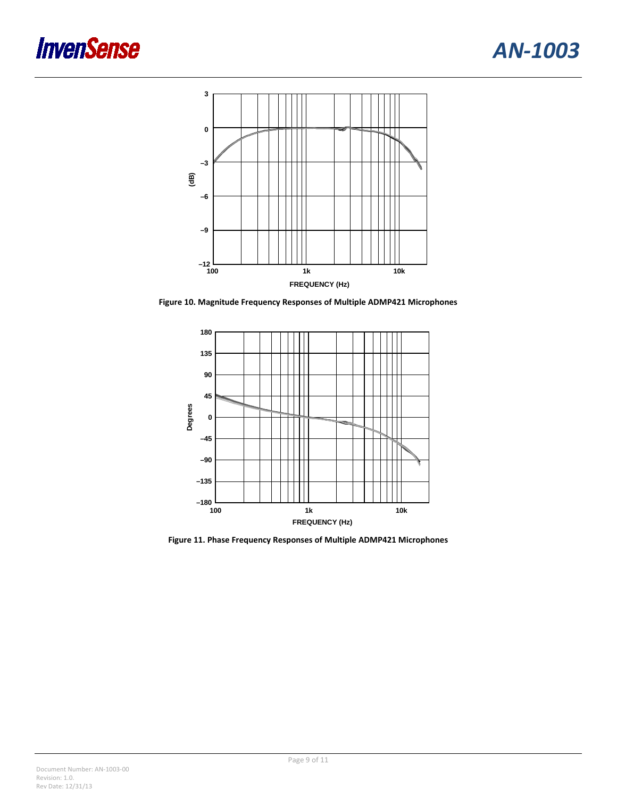## **InvenSense**



<span id="page-8-0"></span>**Figure 10. Magnitude Frequency Responses of Multiple ADMP421 Microphones**



<span id="page-8-1"></span>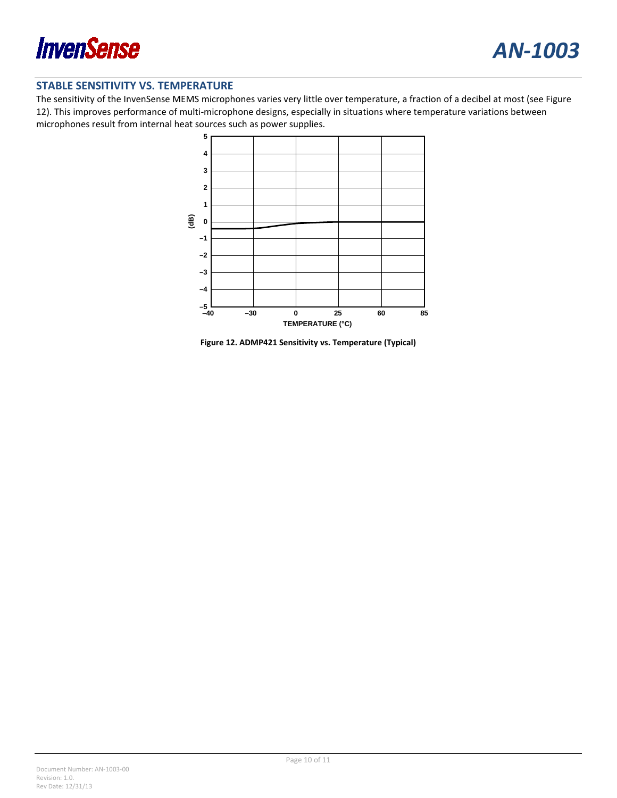

#### **STABLE SENSITIVITY VS. TEMPERATURE**

The sensitivity of the InvenSense MEMS microphones varies very little over temperature, a fraction of a decibel at most (see [Figure](#page-9-0)  [12\)](#page-9-0). This improves performance of multi-microphone designs, especially in situations where temperature variations between microphones result from internal heat sources such as power supplies.



<span id="page-9-0"></span>**Figure 12. ADMP421 Sensitivity vs. Temperature (Typical)**